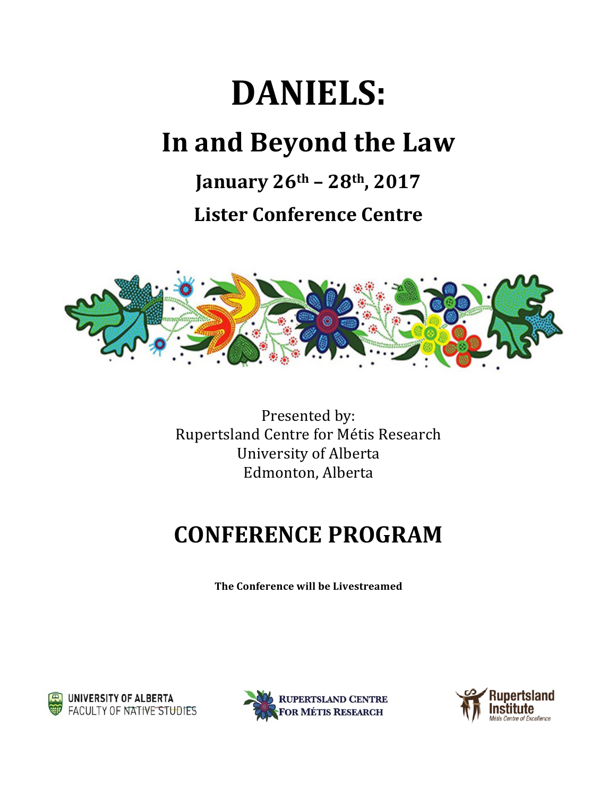## DANIELS:

## In and Beyond the Law

**January 26th – 28th, 2017**

**Lister Conference Centre**



Presented by: Rupertsland Centre for Métis Research University of Alberta Edmonton, Alberta

## **CONFERENCE PROGRAM**

**The Conference will be Livestreamed**





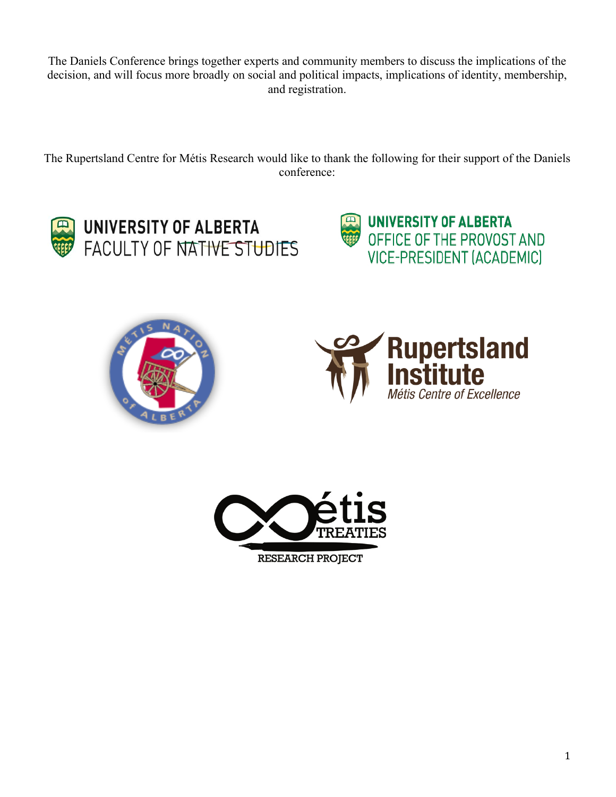The Daniels Conference brings together experts and community members to discuss the implications of the decision, and will focus more broadly on social and political impacts, implications of identity, membership, and registration.

The Rupertsland Centre for Métis Research would like to thank the following for their support of the Daniels conference:











**RESEARCH PROJECT**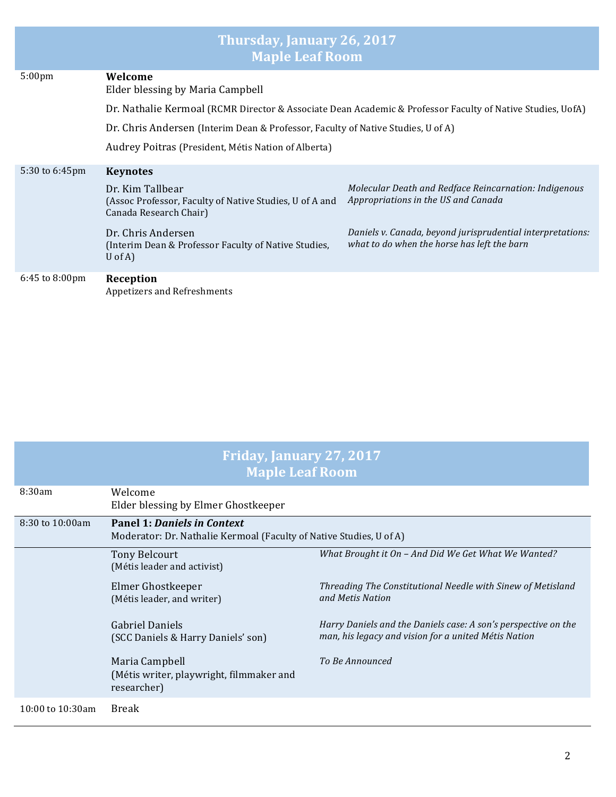| Thursday, January 26, 2017<br><b>Maple Leaf Room</b> |                                                                                                            |                                                                                                           |  |  |  |
|------------------------------------------------------|------------------------------------------------------------------------------------------------------------|-----------------------------------------------------------------------------------------------------------|--|--|--|
| 5:00 <sub>pm</sub>                                   | Welcome<br>Elder blessing by Maria Campbell                                                                |                                                                                                           |  |  |  |
|                                                      | Dr. Nathalie Kermoal (RCMR Director & Associate Dean Academic & Professor Faculty of Native Studies, UofA) |                                                                                                           |  |  |  |
|                                                      | Dr. Chris Andersen (Interim Dean & Professor, Faculty of Native Studies, U of A)                           |                                                                                                           |  |  |  |
|                                                      | Audrey Poitras (President, Métis Nation of Alberta)                                                        |                                                                                                           |  |  |  |
| 5:30 to 6:45pm                                       | <b>Keynotes</b>                                                                                            |                                                                                                           |  |  |  |
|                                                      | Dr. Kim Tallbear<br>(Assoc Professor, Faculty of Native Studies, U of A and<br>Canada Research Chair)      | Molecular Death and Redface Reincarnation: Indigenous<br>Appropriations in the US and Canada              |  |  |  |
|                                                      | Dr. Chris Andersen<br>(Interim Dean & Professor Faculty of Native Studies,<br>U of A $)$                   | Daniels v. Canada, beyond jurisprudential interpretations:<br>what to do when the horse has left the barn |  |  |  |
| 6:45 to 8:00pm                                       | Reception<br>Appetizers and Refreshments                                                                   |                                                                                                           |  |  |  |

| <b>Friday, January 27, 2017</b><br><b>Maple Leaf Room</b> |                                                                                                           |                                                                                                                        |  |  |
|-----------------------------------------------------------|-----------------------------------------------------------------------------------------------------------|------------------------------------------------------------------------------------------------------------------------|--|--|
| 8:30am                                                    | Welcome<br>Elder blessing by Elmer Ghostkeeper                                                            |                                                                                                                        |  |  |
| 8:30 to 10:00am                                           | <b>Panel 1: Daniels in Context</b><br>Moderator: Dr. Nathalie Kermoal (Faculty of Native Studies, U of A) |                                                                                                                        |  |  |
|                                                           | <b>Tony Belcourt</b><br>(Métis leader and activist)                                                       | What Brought it On - And Did We Get What We Wanted?                                                                    |  |  |
|                                                           | Elmer Ghostkeeper<br>(Métis leader, and writer)                                                           | Threading The Constitutional Needle with Sinew of Metisland<br>and Metis Nation                                        |  |  |
|                                                           | <b>Gabriel Daniels</b><br>(SCC Daniels & Harry Daniels' son)                                              | Harry Daniels and the Daniels case: A son's perspective on the<br>man, his legacy and vision for a united Métis Nation |  |  |
|                                                           | Maria Campbell<br>(Métis writer, playwright, filmmaker and<br>researcher)                                 | To Be Announced                                                                                                        |  |  |
| 10:00 to 10:30am                                          | Break                                                                                                     |                                                                                                                        |  |  |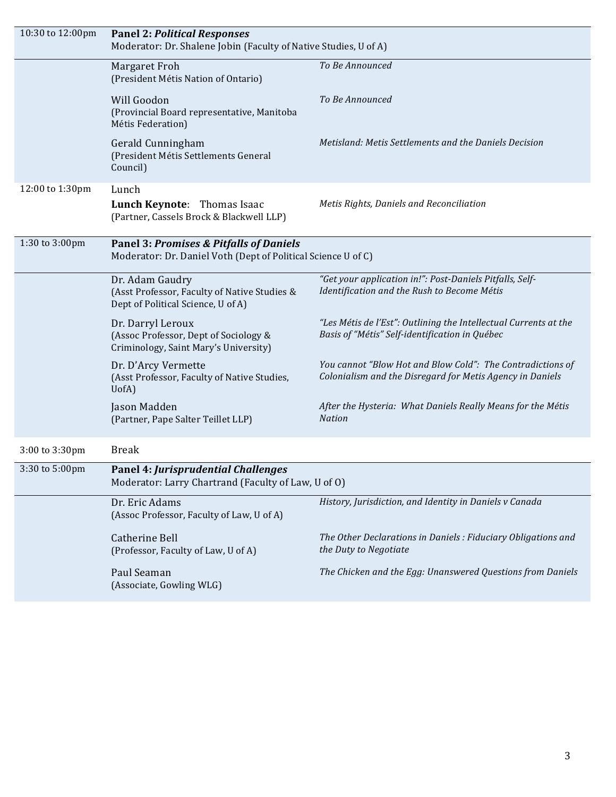| 10:30 to 12:00pm | <b>Panel 2: Political Responses</b><br>Moderator: Dr. Shalene Jobin (Faculty of Native Studies, U of A)             |                                                                                                                         |  |
|------------------|---------------------------------------------------------------------------------------------------------------------|-------------------------------------------------------------------------------------------------------------------------|--|
|                  | Margaret Froh<br>(President Métis Nation of Ontario)                                                                | To Be Announced                                                                                                         |  |
|                  | Will Goodon<br>(Provincial Board representative, Manitoba<br>Métis Federation)                                      | To Be Announced                                                                                                         |  |
|                  | Gerald Cunningham<br>(President Métis Settlements General<br>Council)                                               | Metisland: Metis Settlements and the Daniels Decision                                                                   |  |
| 12:00 to 1:30pm  | Lunch<br>Lunch Keynote: Thomas Isaac<br>(Partner, Cassels Brock & Blackwell LLP)                                    | Metis Rights, Daniels and Reconciliation                                                                                |  |
| 1:30 to 3:00pm   | <b>Panel 3: Promises &amp; Pitfalls of Daniels</b><br>Moderator: Dr. Daniel Voth (Dept of Political Science U of C) |                                                                                                                         |  |
|                  | Dr. Adam Gaudry<br>(Asst Professor, Faculty of Native Studies &<br>Dept of Political Science, U of A)               | "Get your application in!": Post-Daniels Pitfalls, Self-<br>Identification and the Rush to Become Métis                 |  |
|                  | Dr. Darryl Leroux<br>(Assoc Professor, Dept of Sociology &<br>Criminology, Saint Mary's University)                 | "Les Métis de l'Est": Outlining the Intellectual Currents at the<br>Basis of "Métis" Self-identification in Québec      |  |
|                  | Dr. D'Arcy Vermette<br>(Asst Professor, Faculty of Native Studies,<br>UofA)                                         | You cannot "Blow Hot and Blow Cold": The Contradictions of<br>Colonialism and the Disregard for Metis Agency in Daniels |  |
|                  | Jason Madden<br>(Partner, Pape Salter Teillet LLP)                                                                  | After the Hysteria: What Daniels Really Means for the Métis<br><b>Nation</b>                                            |  |
| 3:00 to 3:30pm   | <b>Break</b>                                                                                                        |                                                                                                                         |  |
| 3:30 to 5:00pm   | <b>Panel 4: Jurisprudential Challenges</b><br>Moderator: Larry Chartrand (Faculty of Law, U of O)                   |                                                                                                                         |  |
|                  | Dr. Eric Adams<br>(Assoc Professor, Faculty of Law, U of A)                                                         | History, Jurisdiction, and Identity in Daniels v Canada                                                                 |  |
|                  | <b>Catherine Bell</b><br>(Professor, Faculty of Law, U of A)                                                        | The Other Declarations in Daniels : Fiduciary Obligations and<br>the Duty to Negotiate                                  |  |
|                  | Paul Seaman<br>(Associate, Gowling WLG)                                                                             | The Chicken and the Egg: Unanswered Questions from Daniels                                                              |  |